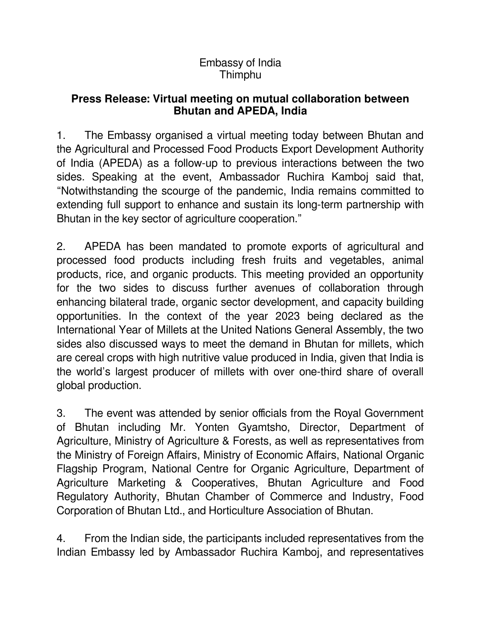## Embassy of India Thimphu

## **Press Release: Virtual meeting on mutual collaboration between Bhutan and APEDA, India**

1. The Embassy organised a virtual meeting today between Bhutan and the Agricultural and Processed Food Products Export Development Authority of India (APEDA) as a follow-up to previous interactions between the two sides. Speaking at the event, Ambassador Ruchira Kamboj said that, "Notwithstanding the scourge of the pandemic, India remains committed to extending full support to enhance and sustain its long-term partnership with Bhutan in the key sector of agriculture cooperation."

2. APEDA has been mandated to promote exports of agricultural and processed food products including fresh fruits and vegetables, animal products, rice, and organic products. This meeting provided an opportunity for the two sides to discuss further avenues of collaboration through enhancing bilateral trade, organic sector development, and capacity building opportunities. In the context of the year 2023 being declared as the International Year of Millets at the United Nations General Assembly, the two sides also discussed ways to meet the demand in Bhutan for millets, which are cereal crops with high nutritive value produced in India, given that India is the world's largest producer of millets with over one-third share of overall global production.

3. The event was attended by senior officials from the Royal Government of Bhutan including Mr. Yonten Gyamtsho, Director, Department of Agriculture, Ministry of Agriculture & Forests, as well as representatives from the Ministry of Foreign Affairs, Ministry of Economic Affairs, National Organic Flagship Program, National Centre for Organic Agriculture, Department of Agriculture Marketing & Cooperatives, Bhutan Agriculture and Food Regulatory Authority, Bhutan Chamber of Commerce and Industry, Food Corporation of Bhutan Ltd., and Horticulture Association of Bhutan.

4. From the Indian side, the participants included representatives from the Indian Embassy led by Ambassador Ruchira Kamboj, and representatives